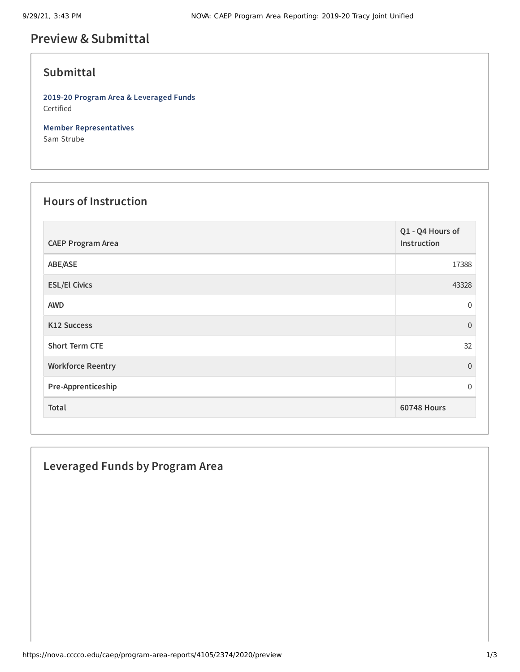# **Preview &Submittal**

# **Submittal**

**2019-20 Program Area & Leveraged Funds** Certified

**Member Representatives** Sam Strube

#### **Hours of Instruction**

| <b>CAEP Program Area</b> | Q1 - Q4 Hours of<br>Instruction |
|--------------------------|---------------------------------|
| ABE/ASE                  | 17388                           |
| <b>ESL/El Civics</b>     | 43328                           |
| <b>AWD</b>               | $\mathbf 0$                     |
| K12 Success              | $\Omega$                        |
| <b>Short Term CTE</b>    | 32                              |
| <b>Workforce Reentry</b> | $\Omega$                        |
| Pre-Apprenticeship       | $\Omega$                        |
| Total                    | <b>60748 Hours</b>              |

## **Leveraged Funds by Program Area**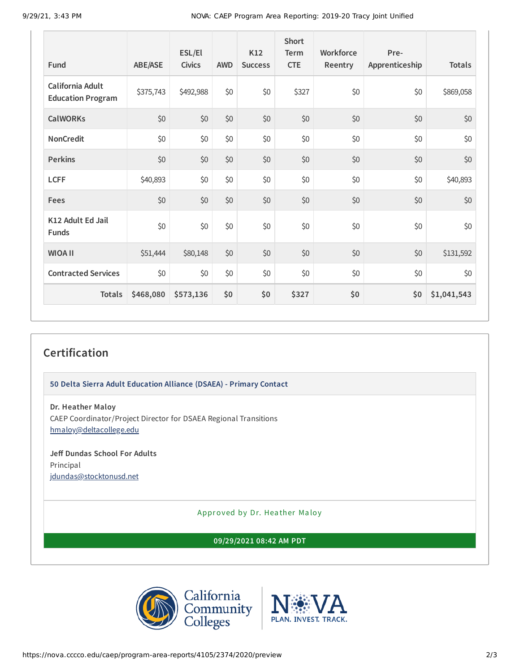| Fund                                         | <b>ABE/ASE</b> | ESL/El<br><b>Civics</b> | <b>AWD</b> | K12<br><b>Success</b> | <b>Short</b><br><b>Term</b><br><b>CTE</b> | Workforce<br>Reentry | Pre-<br>Apprenticeship | <b>Totals</b> |
|----------------------------------------------|----------------|-------------------------|------------|-----------------------|-------------------------------------------|----------------------|------------------------|---------------|
| California Adult<br><b>Education Program</b> | \$375,743      | \$492,988               | \$0        | \$0                   | \$327                                     | \$0                  | \$0                    | \$869,058     |
| <b>CalWORKs</b>                              | \$0            | \$0                     | \$0        | \$0                   | \$0                                       | \$0                  | \$0                    | \$0           |
| <b>NonCredit</b>                             | \$0            | \$0                     | \$0        | \$0                   | \$0                                       | \$0                  | \$0                    | \$0           |
| <b>Perkins</b>                               | \$0            | \$0                     | \$0        | \$0                   | \$0                                       | \$0                  | \$0                    | \$0           |
| <b>LCFF</b>                                  | \$40,893       | \$0                     | \$0        | \$0                   | \$0                                       | \$0                  | \$0                    | \$40,893      |
| Fees                                         | \$0            | \$0                     | \$0        | \$0                   | \$0                                       | \$0                  | \$0                    | \$0           |
| K12 Adult Ed Jail<br><b>Funds</b>            | \$0            | \$0                     | \$0        | \$0                   | \$0                                       | \$0                  | \$0                    | \$0           |
| <b>WIOA II</b>                               | \$51,444       | \$80,148                | \$0        | \$0                   | \$0                                       | \$0                  | \$0                    | \$131,592     |
| <b>Contracted Services</b>                   | \$0            | \$0                     | \$0        | \$0                   | \$0                                       | \$0                  | \$0                    | \$0           |
| <b>Totals</b>                                | \$468,080      | \$573,136               | \$0        | \$0                   | \$327                                     | \$0                  | \$0                    | \$1,041,543   |

## **Certification**

**50 Delta Sierra Adult Education Alliance (DSAEA) - Primary Contact**

**Dr. Heather Maloy**

CAEP Coordinator/Project Director for DSAEA Regional Transitions [hmaloy@deltacollege.edu](mailto:hmaloy@deltacollege.edu)

#### **Jeff Dundas School For Adults** Principal

[jdundas@stocktonusd.net](mailto:jdundas@stocktonusd.net)

Approved by Dr. Heather Maloy

**09/29/2021 08:42 AM PDT**